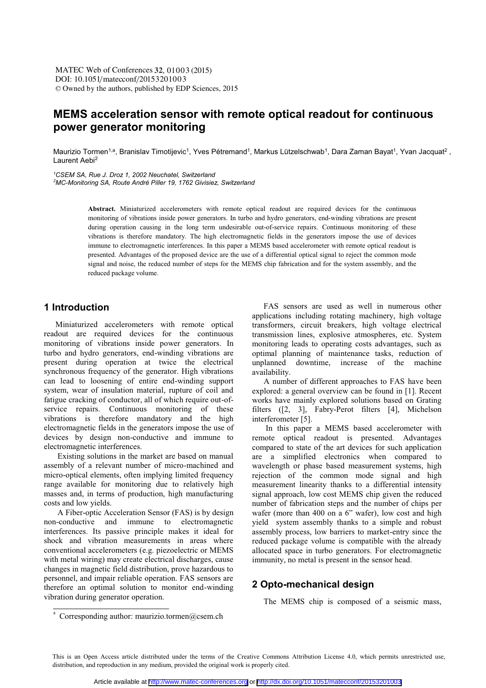DOI: 10.1051/matecconf/20153201003 -<sup>C</sup> Owned by the authors, published by EDP Sciences, 2015 MATEC Web of Conferences 32, 01003 (2015)

# **MEMS acceleration sensor with remote optical readout for continuous power generator monitoring**

Maurizio Tormen<sup>1,a</sup>, Branislav Timotijevic<sup>1</sup>, Yves Pétremand<sup>1</sup>, Markus Lützelschwab<sup>1</sup>, Dara Zaman Bayat<sup>1</sup>, Yvan Jacquat<sup>2</sup>, Laurent Aebi2

*1 CSEM SA, Rue J. Droz 1, 2002 Neuchatel, Switzerland* 

*2 MC-Monitoring SA, Route André Piller 19, 1762 Givisiez, Switzerland* 

**Abstract.** Miniaturized accelerometers with remote optical readout are required devices for the continuous monitoring of vibrations inside power generators. In turbo and hydro generators, end-winding vibrations are present during operation causing in the long term undesirable out-of-service repairs. Continuous monitoring of these vibrations is therefore mandatory. The high electromagnetic fields in the generators impose the use of devices immune to electromagnetic interferences. In this paper a MEMS based accelerometer with remote optical readout is presented. Advantages of the proposed device are the use of a differential optical signal to reject the common mode signal and noise, the reduced number of steps for the MEMS chip fabrication and for the system assembly, and the reduced package volume.

# **1 Introduction**

Miniaturized accelerometers with remote optical readout are required devices for the continuous monitoring of vibrations inside power generators. In turbo and hydro generators, end-winding vibrations are present during operation at twice the electrical synchronous frequency of the generator. High vibrations can lead to loosening of entire end-winding support system, wear of insulation material, rupture of coil and fatigue cracking of conductor, all of which require out-ofservice repairs. Continuous monitoring of these vibrations is therefore mandatory and the high electromagnetic fields in the generators impose the use of devices by design non-conductive and immune to electromagnetic interferences.

 Existing solutions in the market are based on manual assembly of a relevant number of micro-machined and micro-optical elements, often implying limited frequency range available for monitoring due to relatively high masses and, in terms of production, high manufacturing costs and low yields.

 A Fiber-optic Acceleration Sensor (FAS) is by design non-conductive and immune to electromagnetic interferences. Its passive principle makes it ideal for shock and vibration measurements in areas where conventional accelerometers (e.g. piezoelectric or MEMS with metal wiring) may create electrical discharges, cause changes in magnetic field distribution, prove hazardous to personnel, and impair reliable operation. FAS sensors are therefore an optimal solution to monitor end-winding vibration during generator operation.

FAS sensors are used as well in numerous other applications including rotating machinery, high voltage transformers, circuit breakers, high voltage electrical transmission lines, explosive atmospheres, etc. System monitoring leads to operating costs advantages, such as optimal planning of maintenance tasks, reduction of unplanned downtime, increase of the machine availability.

A number of different approaches to FAS have been explored: a general overview can be found in [1]. Recent works have mainly explored solutions based on Grating filters ([2, 3], Fabry-Perot filters [4], Michelson interferometer [5].

 In this paper a MEMS based accelerometer with remote optical readout is presented. Advantages compared to state of the art devices for such application are a simplified electronics when compared to wavelength or phase based measurement systems, high rejection of the common mode signal and high measurement linearity thanks to a differential intensity signal approach, low cost MEMS chip given the reduced number of fabrication steps and the number of chips per wafer (more than 400 on a 6" wafer), low cost and high yield system assembly thanks to a simple and robust assembly process, low barriers to market-entry since the reduced package volume is compatible with the already allocated space in turbo generators. For electromagnetic immunity, no metal is present in the sensor head.

# **2 Opto-mechanical design**

The MEMS chip is composed of a seismic mass,

This is an Open Access article distributed under the terms of the Creative Commons Attribution License 4.0, which permits unrestricted use, distribution, and reproduction in any medium, provided the original work is properly cited.

<sup>&</sup>lt;sup>a</sup> Corresponding author: maurizio.tormen@csem.ch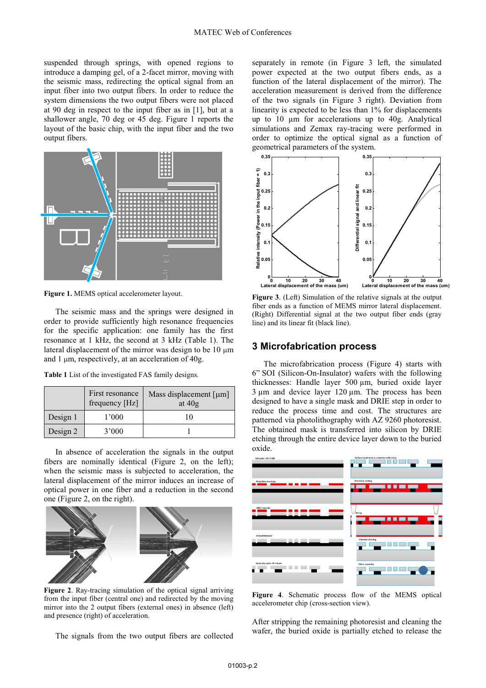suspended through springs, with opened regions to introduce a damping gel, of a 2-facet mirror, moving with the seismic mass, redirecting the optical signal from an input fiber into two output fibers. In order to reduce the system dimensions the two output fibers were not placed at 90 deg in respect to the input fiber as in [1], but at a shallower angle, 70 deg or 45 deg. Figure 1 reports the layout of the basic chip, with the input fiber and the two output fibers.



**Figure 1.** MEMS optical accelerometer layout.

The seismic mass and the springs were designed in order to provide sufficiently high resonance frequencies for the specific application: one family has the first resonance at 1 kHz, the second at 3 kHz (Table 1). The lateral displacement of the mirror was design to be  $10 \mu m$ and 1 µm, respectively, at an acceleration of 40g.

**Table 1** List of the investigated FAS family designs.

|          | First resonance<br>frequency [Hz] | Mass displacement $\lceil \mu m \rceil$<br>at $40g$ |  |
|----------|-----------------------------------|-----------------------------------------------------|--|
| Design 1 | 1'000                             | 10                                                  |  |
| Design 2 | 3'000                             |                                                     |  |

In absence of acceleration the signals in the output fibers are nominally identical (Figure 2, on the left); when the seismic mass is subjected to acceleration, the lateral displacement of the mirror induces an increase of optical power in one fiber and a reduction in the second one (Figure 2, on the right).



**Figure 2**. Ray-tracing simulation of the optical signal arriving from the input fiber (central one) and redirected by the moving mirror into the 2 output fibers (external ones) in absence (left) and presence (right) of acceleration.

The signals from the two output fibers are collected

separately in remote (in Figure 3 left, the simulated power expected at the two output fibers ends, as a function of the lateral displacement of the mirror). The acceleration measurement is derived from the difference of the two signals (in Figure 3 right). Deviation from linearity is expected to be less than 1% for displacements up to 10 μm for accelerations up to 40g. Analytical simulations and Zemax ray-tracing were performed in order to optimize the optical signal as a function of geometrical parameters of the system.



**Figure 3**. (Left) Simulation of the relative signals at the output fiber ends as a function of MEMS mirror lateral displacement. (Right) Differential signal at the two output fiber ends (gray line) and its linear fit (black line).

#### **3 Microfabrication process**

The microfabrication process (Figure 4) starts with 6" SOI (Silicon-On-Insulator) wafers with the following thicknesses: Handle layer 500 μm, buried oxide layer 3 μm and device layer 120 μm. The process has been designed to have a single mask and DRIE step in order to reduce the process time and cost. The structures are patterned via photolithography with AZ 9260 photoresist. The obtained mask is transferred into silicon by DRIE etching through the entire device layer down to the buried oxide.



**Figure 4**. Schematic process flow of the MEMS optical accelerometer chip (cross-section view).

After stripping the remaining photoresist and cleaning the wafer, the buried oxide is partially etched to release the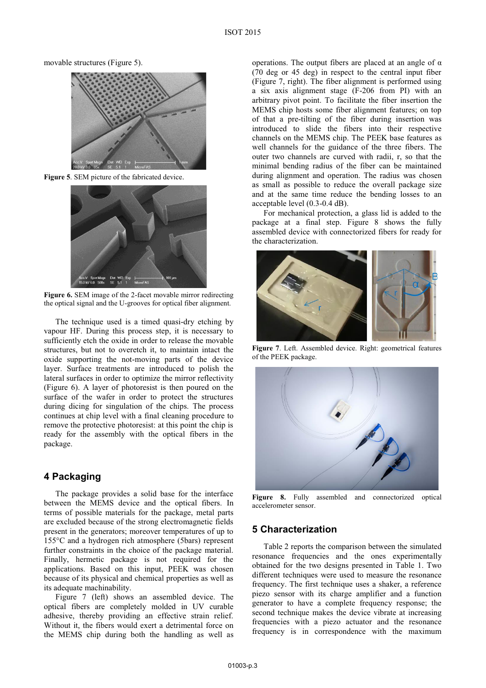movable structures (Figure 5).



**Figure 5**. SEM picture of the fabricated device.



**Figure 6.** SEM image of the 2-facet movable mirror redirecting the optical signal and the U-grooves for optical fiber alignment.

The technique used is a timed quasi-dry etching by vapour HF. During this process step, it is necessary to sufficiently etch the oxide in order to release the movable structures, but not to overetch it, to maintain intact the oxide supporting the not-moving parts of the device layer. Surface treatments are introduced to polish the lateral surfaces in order to optimize the mirror reflectivity (Figure 6). A layer of photoresist is then poured on the surface of the wafer in order to protect the structures during dicing for singulation of the chips. The process continues at chip level with a final cleaning procedure to remove the protective photoresist: at this point the chip is ready for the assembly with the optical fibers in the package.

## **4 Packaging**

The package provides a solid base for the interface between the MEMS device and the optical fibers. In terms of possible materials for the package, metal parts are excluded because of the strong electromagnetic fields present in the generators; moreover temperatures of up to 155°C and a hydrogen rich atmosphere (5bars) represent further constraints in the choice of the package material. Finally, hermetic package is not required for the applications. Based on this input, PEEK was chosen because of its physical and chemical properties as well as its adequate machinability.

Figure 7 (left) shows an assembled device. The optical fibers are completely molded in UV curable adhesive, thereby providing an effective strain relief. Without it, the fibers would exert a detrimental force on the MEMS chip during both the handling as well as

operations. The output fibers are placed at an angle of  $\alpha$ (70 deg or 45 deg) in respect to the central input fiber (Figure 7, right). The fiber alignment is performed using a six axis alignment stage (F-206 from PI) with an arbitrary pivot point. To facilitate the fiber insertion the MEMS chip hosts some fiber alignment features; on top of that a pre-tilting of the fiber during insertion was introduced to slide the fibers into their respective channels on the MEMS chip. The PEEK base features as well channels for the guidance of the three fibers. The outer two channels are curved with radii, r, so that the minimal bending radius of the fiber can be maintained during alignment and operation. The radius was chosen as small as possible to reduce the overall package size and at the same time reduce the bending losses to an acceptable level (0.3-0.4 dB).

For mechanical protection, a glass lid is added to the package at a final step. Figure 8 shows the fully assembled device with connectorized fibers for ready for the characterization.



**Figure 7**. Left. Assembled device. Right: geometrical features of the PEEK package.



**Figure 8.** Fully assembled and connectorized optical accelerometer sensor.

### **5 Characterization**

Table 2 reports the comparison between the simulated resonance frequencies and the ones experimentally obtained for the two designs presented in Table 1. Two different techniques were used to measure the resonance frequency. The first technique uses a shaker, a reference piezo sensor with its charge amplifier and a function generator to have a complete frequency response; the second technique makes the device vibrate at increasing frequencies with a piezo actuator and the resonance frequency is in correspondence with the maximum